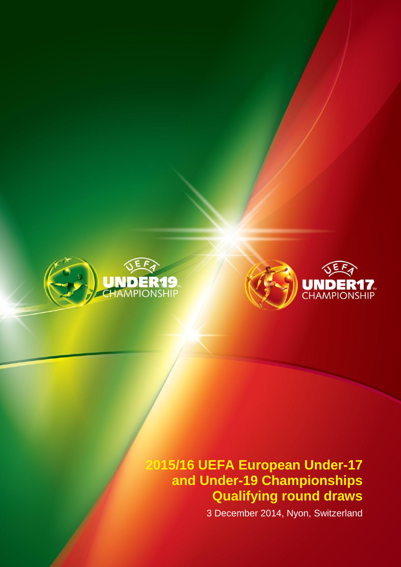



# **2015/16 UEFA European Under-17 and Under-19 Championships Qualifying round draws**

3 December 2014, Nyon, Switzerland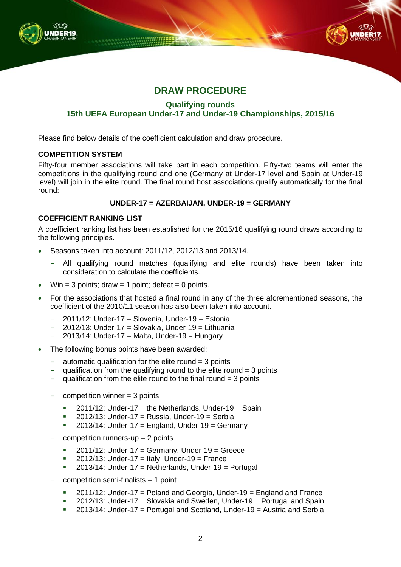



## **DRAW PROCEDURE**

**Qualifying rounds**

### **15th UEFA European Under-17 and Under-19 Championships, 2015/16**

Please find below details of the coefficient calculation and draw procedure.

#### **COMPETITION SYSTEM**

Fifty-four member associations will take part in each competition. Fifty-two teams will enter the competitions in the qualifying round and one (Germany at Under-17 level and Spain at Under-19 level) will join in the elite round. The final round host associations qualify automatically for the final round:

#### **UNDER-17 = AZERBAIJAN, UNDER-19 = GERMANY**

#### **COEFFICIENT RANKING LIST**

A coefficient ranking list has been established for the 2015/16 qualifying round draws according to the following principles.

- Seasons taken into account: 2011/12, 2012/13 and 2013/14.
	- All qualifying round matches (qualifying and elite rounds) have been taken into consideration to calculate the coefficients.
- Win = 3 points; draw = 1 point; defeat = 0 points.
- For the associations that hosted a final round in any of the three aforementioned seasons, the coefficient of the 2010/11 season has also been taken into account.
	- $-$  2011/12: Under-17 = Slovenia, Under-19 = Estonia
	- $2012/13$ : Under-17 = Slovakia, Under-19 = Lithuania
	- $2013/14$ : Under-17 = Malta, Under-19 = Hungary
- The following bonus points have been awarded:
	- automatic qualification for the elite round  $=$  3 points
	- qualification from the qualifying round to the elite round  $=$  3 points
	- qualification from the elite round to the final round  $=$  3 points
	- $competition winner = 3 points$ 
		- $2011/12$ : Under-17 = the Netherlands, Under-19 = Spain
		- 2012/13: Under-17 = Russia, Under-19 = Serbia
		- $2013/14$ : Under-17 = England, Under-19 = Germany
	- competition runners-up  $= 2$  points
		- $2011/12$ : Under-17 = Germany, Under-19 = Greece
		- $\blacksquare$  2012/13: Under-17 = Italy, Under-19 = France
		- $2013/14$ : Under-17 = Netherlands, Under-19 = Portugal
	- $competition$  semi-finalists = 1 point
		- $\blacksquare$  2011/12: Under-17 = Poland and Georgia, Under-19 = England and France
		- 2012/13: Under-17 = Slovakia and Sweden, Under-19 = Portugal and Spain
		- 2013/14: Under-17 = Portugal and Scotland, Under-19 = Austria and Serbia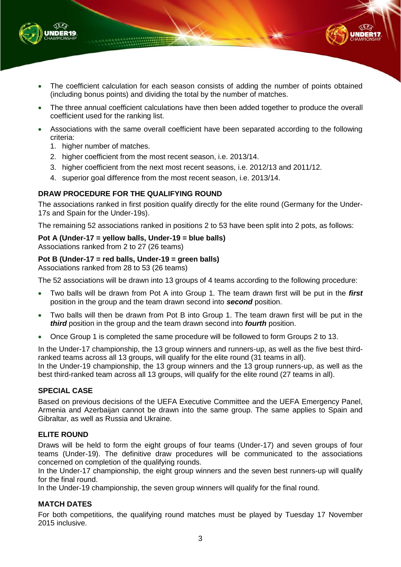

- The coefficient calculation for each season consists of adding the number of points obtained (including bonus points) and dividing the total by the number of matches.
- The three annual coefficient calculations have then been added together to produce the overall coefficient used for the ranking list.
- Associations with the same overall coefficient have been separated according to the following criteria:
	- 1. higher number of matches.
	- 2. higher coefficient from the most recent season, i.e. 2013/14.
	- 3. higher coefficient from the next most recent seasons, i.e. 2012/13 and 2011/12.
	- 4. superior goal difference from the most recent season, i.e. 2013/14.

#### **DRAW PROCEDURE FOR THE QUALIFYING ROUND**

The associations ranked in first position qualify directly for the elite round (Germany for the Under-17s and Spain for the Under-19s).

The remaining 52 associations ranked in positions 2 to 53 have been split into 2 pots, as follows:

#### **Pot A (Under-17 = yellow balls, Under-19 = blue balls)**

Associations ranked from 2 to 27 (26 teams)

#### **Pot B (Under-17 = red balls, Under-19 = green balls)**

Associations ranked from 28 to 53 (26 teams)

The 52 associations will be drawn into 13 groups of 4 teams according to the following procedure:

- Two balls will be drawn from Pot A into Group 1. The team drawn first will be put in the *first* position in the group and the team drawn second into *second* position.
- Two balls will then be drawn from Pot B into Group 1. The team drawn first will be put in the *third* position in the group and the team drawn second into *fourth* position.
- Once Group 1 is completed the same procedure will be followed to form Groups 2 to 13.

In the Under-17 championship, the 13 group winners and runners-up, as well as the five best thirdranked teams across all 13 groups, will qualify for the elite round (31 teams in all). In the Under-19 championship, the 13 group winners and the 13 group runners-up, as well as the best third-ranked team across all 13 groups, will qualify for the elite round (27 teams in all).

#### **SPECIAL CASE**

Based on previous decisions of the UEFA Executive Committee and the UEFA Emergency Panel, Armenia and Azerbaijan cannot be drawn into the same group. The same applies to Spain and Gibraltar, as well as Russia and Ukraine.

#### **ELITE ROUND**

Draws will be held to form the eight groups of four teams (Under-17) and seven groups of four teams (Under-19). The definitive draw procedures will be communicated to the associations concerned on completion of the qualifying rounds.

In the Under-17 championship, the eight group winners and the seven best runners-up will qualify for the final round.

In the Under-19 championship, the seven group winners will qualify for the final round.

#### **MATCH DATES**

For both competitions, the qualifying round matches must be played by Tuesday 17 November 2015 inclusive.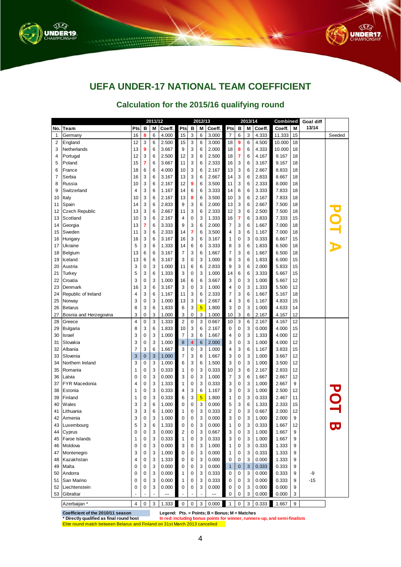



# **UEFA UNDER-17 NATIONAL TEAM COEFFICIENT**

### **Calculation for the 2015/16 qualifying round**

|             |                                                                            | 2011/12             |                  |        |                | 2012/13             |                         |                |                                                 |                |              | 2013/14 |                | Combined                                                                  |          | <b>Goal diff</b> |                          |
|-------------|----------------------------------------------------------------------------|---------------------|------------------|--------|----------------|---------------------|-------------------------|----------------|-------------------------------------------------|----------------|--------------|---------|----------------|---------------------------------------------------------------------------|----------|------------------|--------------------------|
| No.         | Team                                                                       | Pts                 | в                | M      | Coeff.         | Pts                 | в                       | M              | Coeff.                                          | Pts            | В            | M       | Coeff.         | Coeff.                                                                    | М        | 13/14            |                          |
| $\mathbf 1$ | Germany                                                                    | 16                  | 8                | 6      | 4.000          | 15                  | 3                       | 6              | 3.000                                           | 7              | 6            | 3       | 4.333          | 11.333                                                                    | 15       |                  | Seeded                   |
| 2           | England                                                                    | 12                  | 3                | 6      | 2.500          | 15                  | 3                       | 6              | 3.000                                           | 18             | 9            | 6       | 4.500          | 10.000                                                                    | 18       |                  |                          |
| 3           | Netherlands                                                                | 13                  | 9                | 6      | 3.667          | 9                   | 3                       | 6              | 2.000                                           | 18             | 8            | 6       | 4.333          | 10.000                                                                    | 18       |                  |                          |
| 4           | Portugal                                                                   | 12                  | 3                | 6      | 2.500          | 12                  | 3                       | 6              | 2.500                                           | 18             | 7            | 6       | 4.167          | 9.167                                                                     | 18       |                  |                          |
| 5           | Poland                                                                     | 15                  | 7                | 6      | 3.667          | 11                  | 3                       | 6              | 2.333                                           | 16             | 3            | 6       | 3.167          | 9.167                                                                     | 18       |                  |                          |
| 6           | France                                                                     | 18                  | 6                | 6      | 4.000          | 10                  | 3                       | 6              | 2.167                                           | 13             | 3            | 6       | 2.667          | 8.833                                                                     | 18       |                  |                          |
| 7           | Serbia                                                                     | 16                  | 3                | 6      | 3.167          | 13                  | 3                       | 6              | 2.667                                           | 14             | 3            | 6       | 2.833          | 8.667                                                                     | 18       |                  |                          |
| 8           | Russia                                                                     | 10                  | 3                | 6      | 2.167          | 12                  | 9                       | 6              | 3.500                                           | 11             | 3            | 6       | 2.333          | 8.000                                                                     | 18       |                  |                          |
| 9           | Switzerland                                                                | 4                   | 3                | 6      | 1.167          | 14                  | 6                       | 6              | 3.333                                           | 14             | 6            | 6       | 3.333          | 7.833                                                                     | 18       |                  |                          |
| 10          | Italy                                                                      | 10                  | 3                | 6      | 2.167          | 13                  | 8                       | 6              | 3.500                                           | 10             | 3            | 6       | 2.167          | 7.833                                                                     | 18       |                  |                          |
| 11          | Spain                                                                      | 14                  | 3                | 6      | 2.833          | 9                   | 3                       | 6              | 2.000                                           | 13             | 3            | 6       | 2.667          | 7.500                                                                     | 18       |                  |                          |
| 12          | <b>Czech Republic</b>                                                      | 13                  | 3                | 6      | 2.667          | 11                  | 3                       | 6              | 2.333                                           | 12             | 3            | 6       | 2.500          | 7.500                                                                     | 18       |                  | POT A                    |
| 13          | Scotland                                                                   | 10                  | 3                | 6      | 2.167          | 4                   | 0                       | 3              | 1.333                                           | 16             | 7            | 6       | 3.833          | 7.333                                                                     | 15       |                  |                          |
| 14          | Georgia                                                                    | 13                  | 7                | 6      | 3.333          | 9                   | 3                       | 6              | 2.000                                           | $\overline{7}$ | 3            | 6       | 1.667          | 7.000                                                                     | 18       |                  |                          |
| 15          | Sweden                                                                     | 11                  | 3                | 6      | 2.333          | 14                  | 7                       | 6              | 3.500                                           | 4              | 3            | 6       | 1.167          | 7.000                                                                     | 18       |                  |                          |
| 16          | Hungary                                                                    | 16                  | 3                | 6      | 3.167          | 16                  | 3                       | 6              | 3.167                                           | 1              | 0            | 3       | 0.333          | 6.667                                                                     | 15       |                  |                          |
| 17          | Ukraine                                                                    | 5                   | 3                | 6      | 1.333          | 14                  | 6                       | 6              | 3.333                                           | 8              | 3            | 6       | 1.833          | 6.500                                                                     | 18       |                  |                          |
| 18          | Belgium                                                                    | 13                  | 6                | 6      | 3.167          | 7                   | 3                       | 6              | 1.667                                           | 7              | 3            | 6       | 1.667          | 6.500                                                                     | 18       |                  |                          |
| 19          | Iceland                                                                    | 13                  | 6                | 6      | 3.167          | 3                   | 0                       | 3              | 1.000                                           | 8              | 3            | 6       | 1.833          | 6.000                                                                     | 15       |                  |                          |
| 20          | Austria                                                                    | 3                   | 0                | 3      | 1.000          | 11                  | 6                       | 6              | 2.833                                           | 9              | 3            | 6       | 2.000          | 5.833                                                                     | 15       |                  |                          |
| 21          | Turkey                                                                     | 5                   | 3                | 6      | 1.333          | 3                   | 0                       | 3              | 1.000                                           | 14             | 6            | 6       | 3.333          | 5.667                                                                     | 15       |                  |                          |
| 22          | Croatia                                                                    | 3                   | $\mathbf 0$      | 3      | 1.000          | 16                  | 6                       | 6              | 3.667                                           | 3              | 0            | 3       | 1.000          | 5.667                                                                     | 12       |                  |                          |
| 23          | Denmark                                                                    | 16                  | 3                | 6      | 3.167          | 3                   | 0                       | 3              | 1.000                                           | 4              | 0            | 3       | 1.333          | 5.500                                                                     | 12       |                  |                          |
| 24          | Republic of Ireland                                                        | $\overline{4}$      | 3                | 6      | 1.167          | 11                  | 3                       | 6              | 2.333                                           | 7              | 3            | 6       | 1.667          | 5.167                                                                     | 18       |                  |                          |
| 25          | Norway                                                                     | 3                   | 0                | 3      | 1.000          | 13                  | 3                       | 6              | 2.667                                           | $\overline{4}$ | 3            | 6       | 1.167          | 4.833                                                                     | 15       |                  |                          |
| 26          | <b>Belarus</b>                                                             | 8                   | 3                | 6      | 1.833          | 6                   | 3                       | 5              | 1.800                                           | 3              | 0            | 3       | 1.000          | 4.633                                                                     | 14       |                  |                          |
| 27          | Bosnia and Herzegovina                                                     | 3<br>$\overline{4}$ | 0<br>$\mathbf 0$ | 3<br>3 | 1.000          | 3<br>$\overline{2}$ | $\mathbf 0$             | 3              | 1.000                                           | 10<br>10       | 3<br>3       | 6       | 2.167          | 4.167                                                                     | 12       |                  |                          |
| 28          | Greece                                                                     | 8                   | 3                | 6      | 1.333<br>1.833 | 10                  | 0<br>3                  | 3<br>6         | 0.667<br>2.167                                  | $\mathbf 0$    | 0            | 6<br>3  | 2.167<br>0.000 | 4.167<br>4.000                                                            | 12<br>15 |                  |                          |
| 29          | Bulgaria<br><b>Israel</b>                                                  | 3                   | 0                | 3      | 1.000          | $\overline{7}$      | 3                       | 6              | 1.667                                           | 4              | 0            | 3       |                | 4.000                                                                     | 12       |                  |                          |
| 30<br>31    | Slovakia                                                                   | 3                   | 0                | 3      | 1.000          | 8                   | $\overline{\mathbf{4}}$ | 6              | 2.000                                           | 3              | 0            | 3       | 1.333<br>1.000 | 4.000                                                                     | 12       |                  |                          |
| 32          | Albania                                                                    | 7                   | 3                | 6      | 1.667          | 3                   | 0                       | 3              | 1.000                                           | 4              | 3            | 6       | 1.167          | 3.833                                                                     | 15       |                  |                          |
| 33          | Slovenia                                                                   | 3                   | $\mathbf 0$      | 3      | 1.000          | 7                   | 3                       | 6              | 1.667                                           | 3              | 0            | 3       | 1.000          | 3.667                                                                     | 12       |                  |                          |
| 34          | Northern Ireland                                                           | 3                   | 0                | 3      | 1.000          | 6                   | 3                       | 6              | 1.500                                           | 3              | 0            | 3       | 1.000          | 3.500                                                                     | 12       |                  |                          |
| 35          | Romania                                                                    | 1                   | 0                | 3      | 0.333          | 1                   | $\mathbf 0$             | 3              | 0.333                                           | 10             | 3            | 6       | 2.167          | 2.833                                                                     | 12       |                  |                          |
| 36          | Latvia                                                                     | 0                   | 0                | 3      | 0.000          | 3                   | 0                       | 3              | 1.000                                           | $\overline{7}$ | 3            | 6       | 1.667          | 2.667                                                                     | 12       |                  |                          |
| 37          | <b>FYR Macedonia</b>                                                       | 4                   | 0                | 3      | 1.333          | 1                   | 0                       | 3              | 0.333                                           | 3              | 0            | 3       | 1.000          | 2.667                                                                     | 9        |                  |                          |
| 38          | Estonia                                                                    | 1                   | 0                | 3      | 0.333          | 4                   | 3                       | 6              | 1.167                                           | 3              | 0            | 3       | 1.000          | 2.500                                                                     | 12       |                  |                          |
| 39          | Finland                                                                    | 1                   | 0                | 3      | 0.333          | 6                   | 3                       | $\overline{5}$ | 1.800                                           | 1              | 0            | 3       | 0.333          | 2.467                                                                     | 11       |                  |                          |
| 40          | Wales                                                                      | 3                   | 3                | 6      | 1.000          | 0                   | $\mathbf 0$             | 3              | 0.000                                           | 5              | 3            | 6       | 1.333          | 2.333                                                                     | 15       |                  | DQT                      |
| 41          | Lithuania                                                                  | 3                   | 3                | 6      | 1.000          | 1                   | 0                       | 3              | 0.333                                           | 2              | 0            | 3       | 0.667          | 2.000                                                                     | 12       |                  |                          |
| 42          | Armenia                                                                    | 3                   | 0                | 3      | 1.000          | 0                   | $\Omega$                | 3              | 0.000                                           | 3              | $\Omega$     | 3       | 1.000          | 2.000                                                                     | 9        |                  |                          |
| 43          | Luxembourg                                                                 | 5                   | 3                | 6      | 1.333          | 0                   | 0                       | 3              | 0.000                                           | 1              | $\pmb{0}$    | 3       | 0.333          | 1.667                                                                     | 12       |                  | $\overline{\phantom{a}}$ |
| 44          | Cyprus                                                                     | 0                   | 0                | 3      | 0.000          | 2                   | $\mathbf 0$             | 3              | 0.667                                           | 3              | $\pmb{0}$    | 3       | 1.000          | 1.667                                                                     | 9        |                  |                          |
| 45          | Faroe Islands                                                              | 1                   | $\mathbf 0$      | 3      | 0.333          | 1                   | $\pmb{0}$               | 3              | 0.333                                           | 3              | $\mathbf 0$  | 3       | 1.000          | 1.667                                                                     | 9        |                  |                          |
| 46          | Moldova                                                                    | 0                   | $\mathbf 0$      | 3      | 0.000          | 3                   | $\mathbf 0$             | 3              | 1.000                                           | $\mathbf{1}$   | $\pmb{0}$    | 3       | 0.333          | 1.333                                                                     | 9        |                  |                          |
| 47          | Montenegro                                                                 | 3                   | 0                | 3      | 1.000          | 0                   | $\mathbf 0$             | 3              | 0.000                                           | $\mathbf{1}$   | $\pmb{0}$    | 3       | 0.333          | 1.333                                                                     | 9        |                  |                          |
| 48          | Kazakhstan                                                                 | $\overline{4}$      | 0                | 3      | 1.333          | 0                   | $\mathbf 0$             | 3              | 0.000                                           | 0              | $\mathbf 0$  | 3       | 0.000          | 1.333                                                                     | 9        |                  |                          |
| 49          | Malta                                                                      | 0                   | 0                | 3      | 0.000          | 0                   | $\mathbf 0$             | 3              | 0.000                                           | 1              | $\mathbf{0}$ | 3       | 0.333          | 0.333                                                                     | 9        |                  |                          |
| 50          | Andorra                                                                    | 0                   | 0                | 3      | 0.000          | 1                   | $\mathbf 0$             | 3              | 0.333                                           | $\mathbf 0$    | $\pmb{0}$    | 3       | 0.000          | 0.333                                                                     | 9        | -9               |                          |
| 51          | San Marino                                                                 | $\mathbf 0$         | 0                | 3      | 0.000          | 1                   | $\mathbf 0$             | 3              | 0.333                                           | 0              | $\mathbf 0$  | 3       | 0.000          | 0.333                                                                     | 9        | $-15$            |                          |
| 52          | Liechtenstein                                                              | $\mathbf 0$         | 0                | 3      | 0.000          | 0                   | $\mathbf 0$             | 3              | 0.000                                           | 0              | $\pmb{0}$    | 3       | 0.000          | 0.000                                                                     | 9        |                  |                          |
| 53          | Gibraltar                                                                  |                     |                  |        |                |                     |                         |                |                                                 | 0              | $\mathbf 0$  | 3       | 0.000          | 0.000                                                                     | 3        |                  |                          |
|             | Azerbaijan *                                                               | $\overline{4}$      | $\mathbf 0$      | 3      | 1.333          | $\pmb{0}$           | $\mathbf 0$             | 3              | 0.000                                           | $\mathbf{1}$   | $\mathbf 0$  | 3       | 0.333          | 1.667                                                                     | 9        |                  |                          |
|             | Coefficient of the 2010/11 season                                          |                     |                  |        |                |                     |                         |                | Legend: $Pts. = Points; B = bonus; M = Matches$ |                |              |         |                |                                                                           |          |                  |                          |
|             | * Directly qualified as final round host                                   |                     |                  |        |                |                     |                         |                |                                                 |                |              |         |                | In red: including bonus points for winner, runners-up, and semi-finalists |          |                  |                          |
|             | Elite round match between Belarus and Finland on 31st March 2013 cancelled |                     |                  |        |                |                     |                         |                |                                                 |                |              |         |                |                                                                           |          |                  |                          |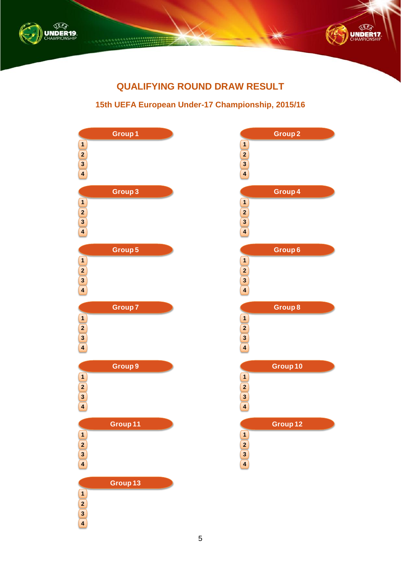



# **QUALIFYING ROUND DRAW RESULT**

### **15th UEFA European Under-17 Championship, 2015/16**

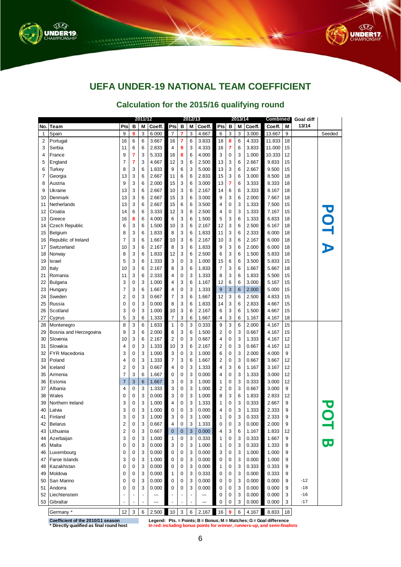



# **UEFA UNDER-19 NATIONAL TEAM COEFFICIENT**

### **Calculation for the 2015/16 qualifying round**

|     |                                                                               |                |             | 2011/12 |        |                |             | 2012/13 |        |                         |          | 2013/14 |        | Combined                                                                  |    | <b>Goal diff</b> |                         |
|-----|-------------------------------------------------------------------------------|----------------|-------------|---------|--------|----------------|-------------|---------|--------|-------------------------|----------|---------|--------|---------------------------------------------------------------------------|----|------------------|-------------------------|
| No. | Team                                                                          | Pts            | в           | Μ       | Coeff. | Pts            | в           | Μ       | Coeff. | Pts                     | в        | M       | Coeff. | Coeff.                                                                    | М  | 13/14            |                         |
| 1   | Spain                                                                         | 9              | 9           | 3       | 6.000  | $\overline{7}$ | 7           | 3       | 4.667  | 6                       | 3        | 3       | 3.000  | 13.667                                                                    | 9  |                  | Seeded                  |
| 2   | Portugal                                                                      | 16             | 6           | 6       | 3.667  | 16             | 7           | 6       | 3.833  | 18                      | 8        | 6       | 4.333  | 11.833                                                                    | 18 |                  |                         |
| 3   | Serbia                                                                        | 11             | 6           | 6       | 2.833  | 4              | 9           | 3       | 4.333  | 16                      | 7        | 6       | 3.833  | 11.000                                                                    | 15 |                  |                         |
| 4   | France                                                                        | 9              | 7           | 3       | 5.333  | 16             | 8           | 6       | 4.000  | 3                       | 0        | 3       | 1.000  | 10.333                                                                    | 12 |                  |                         |
| 5   | England                                                                       | 7              | 7           | 3       | 4.667  | 12             | 3           | 6       | 2.500  | 13                      | 3        | 6       | 2.667  | 9.833                                                                     | 15 |                  |                         |
| 6   | Turkey                                                                        | 8              | 3           | 6       | 1.833  | 9              | 6           | 3       | 5.000  | 13                      | 3        | 6       | 2.667  | 9.500                                                                     | 15 |                  |                         |
| 7   | Georgia                                                                       | 13             | 3           | 6       | 2.667  | 11             | 6           | 6       | 2.833  | 15                      | 3        | 6       | 3.000  | 8.500                                                                     | 18 |                  |                         |
| 8   | Austria                                                                       | 9              | 3           | 6       | 2.000  | 15             | 3           | 6       | 3.000  | 13                      | 7        | 6       | 3.333  | 8.333                                                                     | 18 |                  |                         |
| 9   | Ukraine                                                                       | 13             | 3           | 6       | 2.667  | 10             | 3           | 6       | 2.167  | 14                      | 6        | 6       | 3.333  | 8.167                                                                     | 18 |                  |                         |
| 10  | Denmark                                                                       | 13             | 3           | 6       | 2.667  | 15             | 3           | 6       | 3.000  | 9                       | 3        | 6       | 2.000  | 7.667                                                                     | 18 |                  |                         |
| 11  | Netherlands                                                                   | 13             | 3           | 6       | 2.667  | 15             | 6           | 6       | 3.500  | 4                       | 0        | 3       | 1.333  | 7.500                                                                     | 15 |                  |                         |
| 12  | Croatia                                                                       | 14             | 6           | 6       | 3.333  | 12             | 3           | 6       | 2.500  | 4                       | 0        | 3       | 1.333  | 7.167                                                                     | 15 |                  |                         |
| 13  | Greece                                                                        | 16             | 8           | 6       | 4.000  | 6              | 3           | 6       | 1.500  | 5                       | 3        | 6       | 1.333  | 6.833                                                                     | 18 |                  |                         |
| 14  | <b>Czech Republic</b>                                                         | 6              | 3           | 6       | 1.500  | 10             | 3           | 6       | 2.167  | 12                      | 3        | 6       | 2.500  | 6.167                                                                     | 18 |                  |                         |
| 15  | Belgium                                                                       | 8              | 3           | 6       | 1.833  | 8              | 3           | 6       | 1.833  | 11                      | 3        | 6       | 2.333  | 6.000                                                                     | 18 |                  |                         |
| 16  | Republic of Ireland                                                           | 7              | 3           | 6       | 1.667  | 10             | 3           | 6       | 2.167  | 10                      | 3        | 6       | 2.167  | 6.000                                                                     | 18 |                  | POT A                   |
| 17  | Switzerland                                                                   | 10             | 3           | 6       | 2.167  | 8              | 3           | 6       | 1.833  | 9                       | 3        | 6       | 2.000  | 6.000                                                                     | 18 |                  |                         |
| 18  | Norway                                                                        | 8              | 3           | 6       | 1.833  | 12             | 3           | 6       | 2.500  | 6                       | 3        | 6       | 1.500  | 5.833                                                                     | 18 |                  |                         |
| 19  | Israel                                                                        | 5              | 3           | 6       | 1.333  | 3              | 0           | 3       | 1.000  | 15                      | 6        | 6       | 3.500  | 5.833                                                                     | 15 |                  |                         |
| 20  | Italy                                                                         | 10             | 3           | 6       | 2.167  | 8              | 3           | 6       | 1.833  | $\overline{7}$          | 3        | 6       | 1.667  | 5.667                                                                     | 18 |                  |                         |
| 21  | Romania                                                                       | 11             | 3           | 6       | 2.333  | 4              | 0           | 3       | 1.333  | 8                       | 3        | 6       | 1.833  | 5.500                                                                     | 15 |                  |                         |
| 22  | <b>Bulgaria</b>                                                               | 3              | 0           | 3       | 1.000  | 4              | 3           | 6       | 1.167  | 12                      | 6        | 6       | 3.000  | 5.167                                                                     | 15 |                  |                         |
| 23  | Hungary                                                                       | 7              | 3           | 6       | 1.667  | 4              | 0           | 3       | 1.333  | 9                       | 3        | 6       | 2.000  | 5.000                                                                     | 15 |                  |                         |
| 24  | Sweden                                                                        | 2              | 0           | 3       | 0.667  | 7              | 3           | 6       | 1.667  | 12                      | 3        | 6       | 2.500  | 4.833                                                                     | 15 |                  |                         |
| 25  | Russia                                                                        | 0              | $\mathbf 0$ | 3       | 0.000  | 8              | 3           | 6       | 1.833  | 14                      | 3        | 6       | 2.833  | 4.667                                                                     | 15 |                  |                         |
| 26  | Scotland                                                                      | 3              | $\mathbf 0$ | 3       | 1.000  | 10             | 3           | 6       | 2.167  | 6                       | 3        | 6       | 1.500  | 4.667                                                                     | 15 |                  |                         |
| 27  | Cyprus                                                                        | 5              | 3           | 6       | 1.333  | $\overline{7}$ | 3           | 6       | 1.667  | 4                       | 3        | 6       | 1.167  | 4.167                                                                     | 18 |                  |                         |
| 28  | Montenegro                                                                    | 8              | 3           | 6       | 1.833  | 1              | 0           | 3       | 0.333  | 9                       | 3        | 6       | 2.000  | 4.167                                                                     | 15 |                  |                         |
| 29  | Bosnia and Herzegovina                                                        | 9              | 3           | 6       | 2.000  | 6              | 3           | 6       | 1.500  | 2                       | 0        | 3       | 0.667  | 4.167                                                                     | 15 |                  |                         |
| 30  | Slovenia                                                                      | 10             | 3           | 6       | 2.167  | 2              | 0           | 3       | 0.667  | 4                       | 0        | 3       | 1.333  | 4.167                                                                     | 12 |                  |                         |
| 31  | Slovakia                                                                      | 4              | 0           | 3       | 1.333  | 10             | 3           | 6       | 2.167  | $\overline{\mathbf{c}}$ | 0        | 3       | 0.667  | 4.167                                                                     | 12 |                  |                         |
| 32  | <b>FYR Macedonia</b>                                                          | 3              | 0           | 3       | 1.000  | 3              | 0           | 3       | 1.000  | 6                       | 0        | 3       | 2.000  | 4.000                                                                     | 9  |                  |                         |
| 33  | Poland                                                                        | 4              | 0           | 3       | 1.333  | 7              | 3           | 6       | 1.667  | 2                       | 0        | 3       | 0.667  | 3.667                                                                     | 12 |                  |                         |
| 34  | Iceland                                                                       | 2              | $\mathbf 0$ | 3       | 0.667  | 4              | 0           | 3       | 1.333  | 4                       | 3        | 6       | 1.167  | 3.167                                                                     | 12 |                  |                         |
| 35  | Armenia                                                                       | 7              | 3           | 6       | 1.667  | 0              | 0           | 3       | 0.000  | 4                       | 0        | 3       | 1.333  | 3.000                                                                     | 12 |                  |                         |
| 36  | Estonia                                                                       | 7              | 3           | 6       | 1.667  | 3              | 0           | 3       | 1.000  | 1                       | 0        | 3       | 0.333  | 3.000                                                                     | 12 |                  |                         |
| 37  | Albania                                                                       | 4              | $\mathbf 0$ | 3       | 1.333  | 3              | 0           | 3       | 1.000  | 2                       | 0        | 3       | 0.667  | 3.000                                                                     | 9  |                  |                         |
| 38  | Wales                                                                         | 0              | $\mathbf 0$ | 3       | 0.000  | 3              | 0           | 3       | 1.000  | 8                       | 3        | 6       | 1.833  | 2.833                                                                     | 12 |                  |                         |
| 39  | Northern Ireland                                                              | 3              | $\mathbf 0$ | 3       | 1.000  | 4              | 0           | 3       | 1.333  | 1                       | 0        | 3       | 0.333  | 2.667                                                                     | 9  |                  |                         |
| 40  | Latvia                                                                        | 3              | 0           | 3       | 1.000  | 0              | 0           | 3       | 0.000  | 4                       | 0        | 3       | 1.333  | 2.333                                                                     | 9  |                  |                         |
| 41  | Finland                                                                       | 3              | $\mathbf 0$ | 3       | 1.000  | 3              | 0           | 3       | 1.000  | 1                       | $\Omega$ | 3       | 0.333  | 2.333                                                                     | 9  |                  |                         |
| 42  | <b>Belarus</b>                                                                | 2              | $\mathbf 0$ | 3       | 0.667  | 4              | 0           | 3       | 1.333  | 0                       | 0        | 3       | 0.000  | 2.000                                                                     | 9  |                  |                         |
| 43  | Lithuania                                                                     | $\overline{c}$ | 0           | 3       | 0.667  | $\mathbf{0}$   | $\mathbf 0$ | 3       | 0.000  | $\overline{4}$          | 3        | 6       | 1.167  | 1.833                                                                     | 12 |                  |                         |
| 44  | Azerbaijan                                                                    | 3              | $\mathbf 0$ | 3       | 1.000  | $\mathbf{1}$   | 0           | 3       | 0.333  | $\mathbf{1}$            | 0        | 3       | 0.333  | 1.667                                                                     | 9  |                  |                         |
| 45  | Malta                                                                         | 0              | $\mathbf 0$ | 3       | 0.000  | 3              | 0           | 3       | 1.000  | 1                       | 0        | 3       | 0.333  | 1.333                                                                     | 9  |                  | $\overline{\mathbf{U}}$ |
| 46  | Luxembourg                                                                    | 0              | $\mathbf 0$ | 3       | 0.000  | $\mathbf 0$    | 0           | 3       | 0.000  | 3                       | 0        | 3       | 1.000  | 1.000                                                                     | 9  |                  |                         |
| 47  | <b>Faroe Islands</b>                                                          | 3              | $\mathbf 0$ | 3       | 1.000  | 0              | 0           | 3       | 0.000  | $\mathbf 0$             | 0        | 3       | 0.000  | 1.000                                                                     | 9  |                  |                         |
| 48  | Kazakhstan                                                                    | 0              | $\mathbf 0$ | 3       | 0.000  | 0              | 0           | 3       | 0.000  | $\mathbf{1}$            | 0        | 3       | 0.333  | 0.333                                                                     | 9  |                  |                         |
| 49  | Moldova                                                                       | 0              | $\mathbf 0$ | 3       | 0.000  | $\mathbf{1}$   | 0           | 3       | 0.333  | 0                       | 0        | 3       | 0.000  | 0.333                                                                     | 9  |                  |                         |
| 50  | San Marino                                                                    | 0              | $\mathbf 0$ | 3       | 0.000  | $\mathbf 0$    | 0           | 3       | 0.000  | $\mathbf 0$             | 0        | 3       | 0.000  | 0.000                                                                     | 9  | $-12$            |                         |
| 51  | Andorra                                                                       | 0              | 0           | 3       | 0.000  | 0              | 0           | 3       | 0.000  | 0                       | 0        | 3       | 0.000  | 0.000                                                                     | 9  | $-18$            |                         |
| 52  | Liechtenstein                                                                 |                |             |         | ---    |                | ÷,          |         | ---    | 0                       | 0        | 3       | 0.000  | 0.000                                                                     | 3  | $-16$            |                         |
| 53  | Gibraltar                                                                     |                |             | ÷,      | ---    |                |             |         | ---    | 0                       | 0        | 3       | 0.000  | 0.000                                                                     | 3  | $-17$            |                         |
|     | Germany *                                                                     | 12             | 3           | 6       | 2.500  | 10             | 3           | 6       | 2.167  | 16                      | 9        | 6       | 4.167  | 8.833                                                                     | 18 |                  |                         |
|     | Legend: Pts. = Points; B = Bonus; M = Matches; G = Goal difference            |                |             |         |        |                |             |         |        |                         |          |         |        |                                                                           |    |                  |                         |
|     | Coefficient of the 2010/11 season<br>* Directly qualified as final round host |                |             |         |        |                |             |         |        |                         |          |         |        | In red: including bonus points for winner, runners-up, and semi-finalists |    |                  |                         |

**Coefficient of the 2010/11 season**

**Legend: Pts. = Points; B = Bonus; M = Matches; G = Goal difference**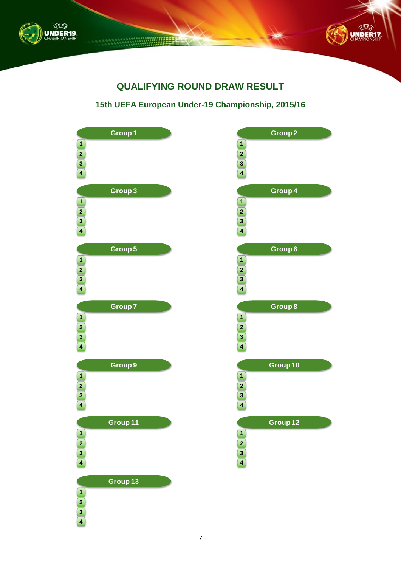



# **QUALIFYING ROUND DRAW RESULT**

### **15th UEFA European Under-19 Championship, 2015/16**